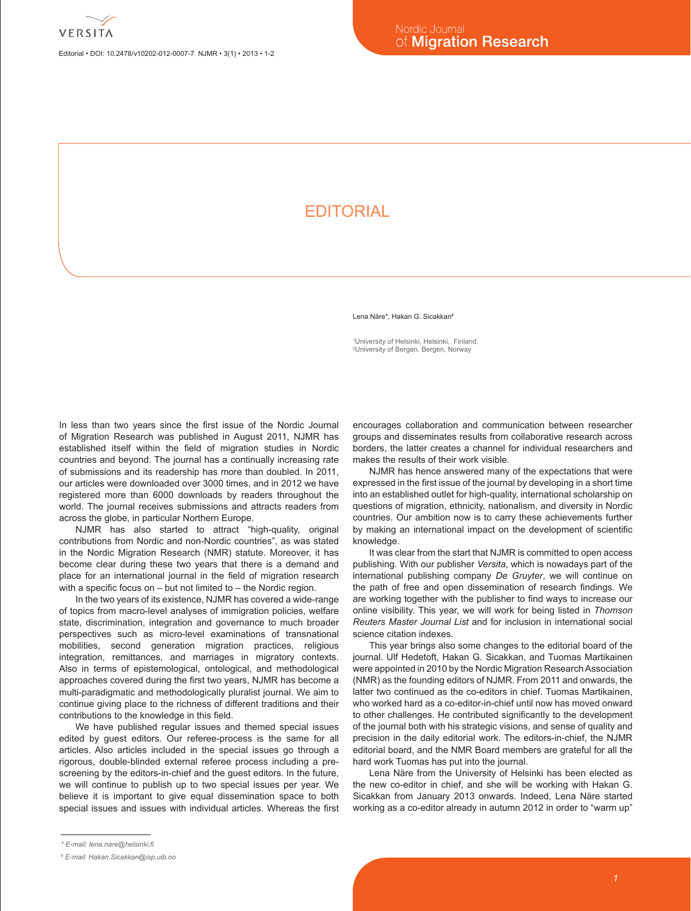Editorial • DOI: 10.2478/v10202-012-0007-7 NJMR • 3(1) • 2013 • 1-2

## **FDITORIAL**

Lena Näre\*, Hakan G. Sicakkan#

1 University of Helsinki, Helsinki, Finland, 2 University of Bergen, Bergen, Norway

In less than two years since the first issue of the Nordic Journal of Migration Research was published in August 2011, NJMR has established itself within the field of migration studies in Nordic countries and beyond. The journal has a continually increasing rate of submissions and its readership has more than doubled. In 2011, our articles were downloaded over 3000 times, and in 2012 we have registered more than 6000 downloads by readers throughout the world. The journal receives submissions and attracts readers from across the globe, in particular Northern Europe.

NJMR has also started to attract "high-quality, original contributions from Nordic and non-Nordic countries", as was stated in the Nordic Migration Research (NMR) statute. Moreover, it has become clear during these two years that there is a demand and place for an international journal in the field of migration research with a specific focus on – but not limited to – the Nordic region.

In the two years of its existence, NJMR has covered a wide-range of topics from macro-level analyses of immigration policies, welfare state, discrimination, integration and governance to much broader perspectives such as micro-level examinations of transnational mobilities, second generation migration practices, religious integration, remittances, and marriages in migratory contexts. Also in terms of epistemological, ontological, and methodological approaches covered during the first two years, NJMR has become a multi-paradigmatic and methodologically pluralist journal. We aim to continue giving place to the richness of different traditions and their contributions to the knowledge in this field.

We have published regular issues and themed special issues edited by guest editors. Our referee-process is the same for all articles. Also articles included in the special issues go through a rigorous, double-blinded external referee process including a prescreening by the editors-in-chief and the guest editors. In the future, we will continue to publish up to two special issues per year. We believe it is important to give equal dissemination space to both special issues and issues with individual articles. Whereas the first encourages collaboration and communication between researcher groups and disseminates results from collaborative research across borders, the latter creates a channel for individual researchers and makes the results of their work visible.

NJMR has hence answered many of the expectations that were expressed in the first issue of the journal by developing in a short time into an established outlet for high-quality, international scholarship on questions of migration, ethnicity, nationalism, and diversity in Nordic countries. Our ambition now is to carry these achievements further by making an international impact on the development of scientific knowledge.

It was clear from the start that NJMR is committed to open access publishing. With our publisher *Versita*, which is nowadays part of the international publishing company *De Gruyter*, we will continue on the path of free and open dissemination of research findings. We are working together with the publisher to find ways to increase our online visibility. This year, we will work for being listed in *Thomson Reuters Master Journal List* and for inclusion in international social science citation indexes.

This year brings also some changes to the editorial board of the journal. Ulf Hedetoft, Hakan G. Sicakkan, and Tuomas Martikainen were appointed in 2010 by the Nordic Migration Research Association (NMR) as the founding editors of NJMR. From 2011 and onwards, the latter two continued as the co-editors in chief. Tuomas Martikainen, who worked hard as a co-editor-in-chief until now has moved onward to other challenges. He contributed significantly to the development of the journal both with his strategic visions, and sense of quality and precision in the daily editorial work. The editors-in-chief, the NJMR editorial board, and the NMR Board members are grateful for all the hard work Tuomas has put into the journal.

Lena Näre from the University of Helsinki has been elected as the new co-editor in chief, and she will be working with Hakan G. Sicakkan from January 2013 onwards. Indeed, Lena Näre started working as a co-editor already in autumn 2012 in order to "warm up"

*<sup>\*</sup> E-mail: lena.nare@helsinki.fi*

*<sup>#</sup> E-mail: Hakan.Sicakkan@isp.uib.no*